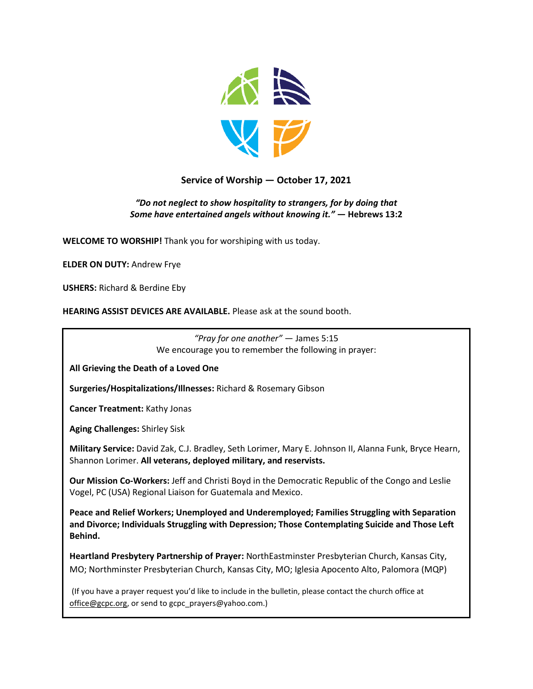

# **Service of Worship — October 17, 2021**

#### *"Do not neglect to show hospitality to strangers, for by doing that Some have entertained angels without knowing it."* **— Hebrews 13:2**

**WELCOME TO WORSHIP!** Thank you for worshiping with us today.

**ELDER ON DUTY:** Andrew Frye

**USHERS:** Richard & Berdine Eby

**HEARING ASSIST DEVICES ARE AVAILABLE.** Please ask at the sound booth.

*"Pray for one another"* — James 5:15 We encourage you to remember the following in prayer:

**All Grieving the Death of a Loved One**

**Surgeries/Hospitalizations/Illnesses:** Richard & Rosemary Gibson

**Cancer Treatment:** Kathy Jonas

**Aging Challenges:** Shirley Sisk

**Military Service:** David Zak, C.J. Bradley, Seth Lorimer, Mary E. Johnson II, Alanna Funk, Bryce Hearn, Shannon Lorimer. **All veterans, deployed military, and reservists.**

**Our Mission Co-Workers:** Jeff and Christi Boyd in the Democratic Republic of the Congo and Leslie Vogel, PC (USA) Regional Liaison for Guatemala and Mexico.

**Peace and Relief Workers; Unemployed and Underemployed; Families Struggling with Separation and Divorce; Individuals Struggling with Depression; Those Contemplating Suicide and Those Left Behind.**

**Heartland Presbytery Partnership of Prayer:** NorthEastminster Presbyterian Church, Kansas City, MO; Northminster Presbyterian Church, Kansas City, MO; Iglesia Apocento Alto, Palomora (MQP)

(If you have a prayer request you'd like to include in the bulletin, please contact the church office at [office@gcpc.org,](mailto:office@gcpc.org) or send to gcpc\_prayers@yahoo.com.)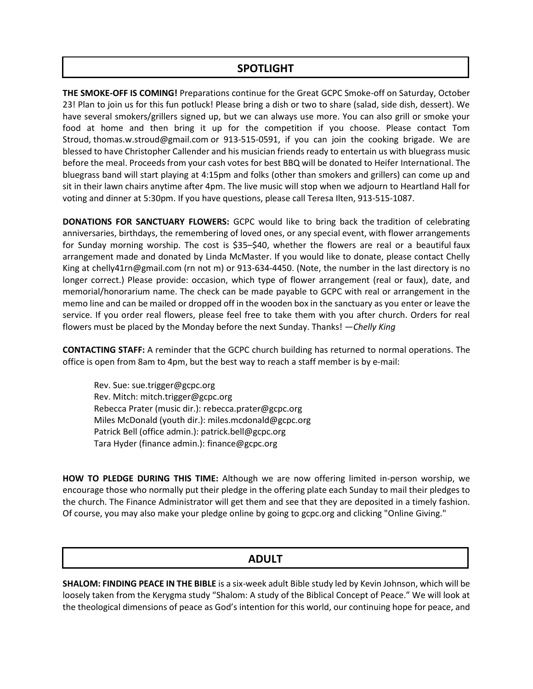# **SPOTLIGHT**

**THE SMOKE-OFF IS COMING!** Preparations continue for the Great GCPC Smoke-off on Saturday, October 23! Plan to join us for this fun potluck! Please bring a dish or two to share (salad, side dish, dessert). We have several smokers/grillers signed up, but we can always use more. You can also grill or smoke your food at home and then bring it up for the competition if you choose. Please contact Tom Stroud, [thomas.w.stroud@gmail.com](mailto:thomas.w.stroud@gmail.com) or 913-515-0591, if you can join the cooking brigade. We are blessed to have Christopher Callender and his musician friends ready to entertain us with bluegrass music before the meal. Proceeds from your cash votes for best BBQ will be donated to Heifer International. The bluegrass band will start playing at 4:15pm and folks (other than smokers and grillers) can come up and sit in their lawn chairs anytime after 4pm. The live music will stop when we adjourn to Heartland Hall for voting and dinner at 5:30pm. If you have questions, please call Teresa Ilten, 913-515-1087.

**DONATIONS FOR SANCTUARY FLOWERS:** GCPC would like to bring back the tradition of celebrating anniversaries, birthdays, the remembering of loved ones, or any special event, with flower arrangements for Sunday morning worship. The cost is \$35–\$40, whether the flowers are real or a beautiful faux arrangement made and donated by Linda McMaster. If you would like to donate, please contact Chelly King at [chelly41rn@gmail.com](mailto:chelly41rn@gmail.com) (rn not m) or 913-634-4450. (Note, the number in the last directory is no longer correct.) Please provide: occasion, which type of flower arrangement (real or faux), date, and memorial/honorarium name. The check can be made payable to GCPC with real or arrangement in the memo line and can be mailed or dropped off in the wooden box in the sanctuary as you enter or leave the service. If you order real flowers, please feel free to take them with you after church. Orders for real flowers must be placed by the Monday before the next Sunday. Thanks! *—Chelly King*

**CONTACTING STAFF:** A reminder that the GCPC church building has returned to normal operations. The office is open from 8am to 4pm, but the best way to reach a staff member is by e-mail:

Rev. Sue: [sue.trigger@gcpc.org](mailto:sue.trigger@gcpc.org) Rev. Mitch: [mitch.trigger@gcpc.org](mailto:mitch.trigger@gcpc.org) Rebecca Prater (music dir.): [rebecca.prater@gcpc.org](mailto:rebecca.prater@gcpc.org) Miles McDonald (youth dir.): [miles.mcdonald@gcpc.org](mailto:miles.mcdonald@gcpc.org) Patrick Bell (office admin.): [patrick.bell@gcpc.org](mailto:patrick.bell@gcpc.org) Tara Hyder (finance admin.): [finance@gcpc.org](mailto:finance@gcpc.org)

**HOW TO PLEDGE DURING THIS TIME:** Although we are now offering limited in-person worship, we encourage those who normally put their pledge in the offering plate each Sunday to mail their pledges to the church. The Finance Administrator will get them and see that they are deposited in a timely fashion. Of course, you may also make your pledge online by going to [gcpc.org](https://gcpc.org/about-us/donate.html) and clicking "Online Giving."

# **ADULT**

**SHALOM: FINDING PEACE IN THE BIBLE** is a six-week adult Bible study led by Kevin Johnson, which will be loosely taken from the Kerygma study "Shalom: A study of the Biblical Concept of Peace." We will look at the theological dimensions of peace as God's intention for this world, our continuing hope for peace, and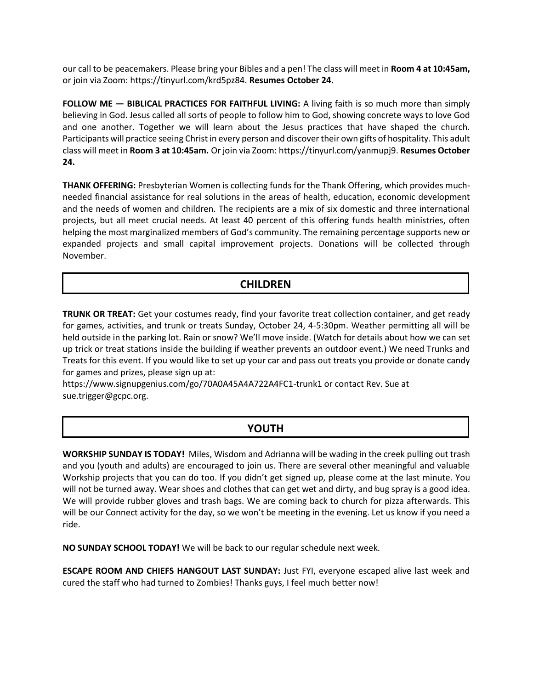our call to be peacemakers. Please bring your Bibles and a pen! The class will meet in **Room 4 at 10:45am,** or join via Zoom[: https://tinyurl.com/krd5pz84.](https://tinyurl.com/krd5pz84) **Resumes October 24.**

**FOLLOW ME - BIBLICAL PRACTICES FOR FAITHFUL LIVING:** A living faith is so much more than simply believing in God. Jesus called all sorts of people to follow him to God, showing concrete ways to love God and one another. Together we will learn about the Jesus practices that have shaped the church. Participants will practice seeing Christ in every person and discover their own gifts of hospitality. This adult class will meet in **Room 3 at 10:45am.** Or join via Zoom[: https://tinyurl.com/yanmupj9.](https://tinyurl.com/yanmupj9) **Resumes October 24.**

**THANK OFFERING:** Presbyterian Women is collecting funds for the Thank Offering, which provides muchneeded financial assistance for real solutions in the areas of health, education, economic development and the needs of women and children. The recipients are a mix of six domestic and three international projects, but all meet crucial needs. At least 40 percent of this offering funds health ministries, often helping the most marginalized members of God's community. The remaining percentage supports new or expanded projects and small capital improvement projects. Donations will be collected through November.

# **CHILDREN**

**TRUNK OR TREAT:** Get your costumes ready, find your favorite treat collection container, and get ready for games, activities, and trunk or treats Sunday, October 24, 4-5:30pm. Weather permitting all will be held outside in the parking lot. Rain or snow? We'll move inside. (Watch for details about how we can set up trick or treat stations inside the building if weather prevents an outdoor event.) We need Trunks and Treats for this event. If you would like to set up your car and pass out treats you provide or donate candy for games and prizes, please sign up at:

<https://www.signupgenius.com/go/70A0A45A4A722A4FC1-trunk1> or contact Rev. Sue at [sue.trigger@gcpc.org.](mailto:sue.trigger@gcpc.org)

### **YOUTH**

**WORKSHIP SUNDAY IS TODAY!** Miles, Wisdom and Adrianna will be wading in the creek pulling out trash and you (youth and adults) are encouraged to join us. There are several other meaningful and valuable Workship projects that you can do too. If you didn't get signed up, please come at the last minute. You will not be turned away. Wear shoes and clothes that can get wet and dirty, and bug spray is a good idea. We will provide rubber gloves and trash bags. We are coming back to church for pizza afterwards. This will be our Connect activity for the day, so we won't be meeting in the evening. Let us know if you need a ride.

**NO SUNDAY SCHOOL TODAY!** We will be back to our regular schedule next week.

**ESCAPE ROOM AND CHIEFS HANGOUT LAST SUNDAY:** Just FYI, everyone escaped alive last week and cured the staff who had turned to Zombies! Thanks guys, I feel much better now!